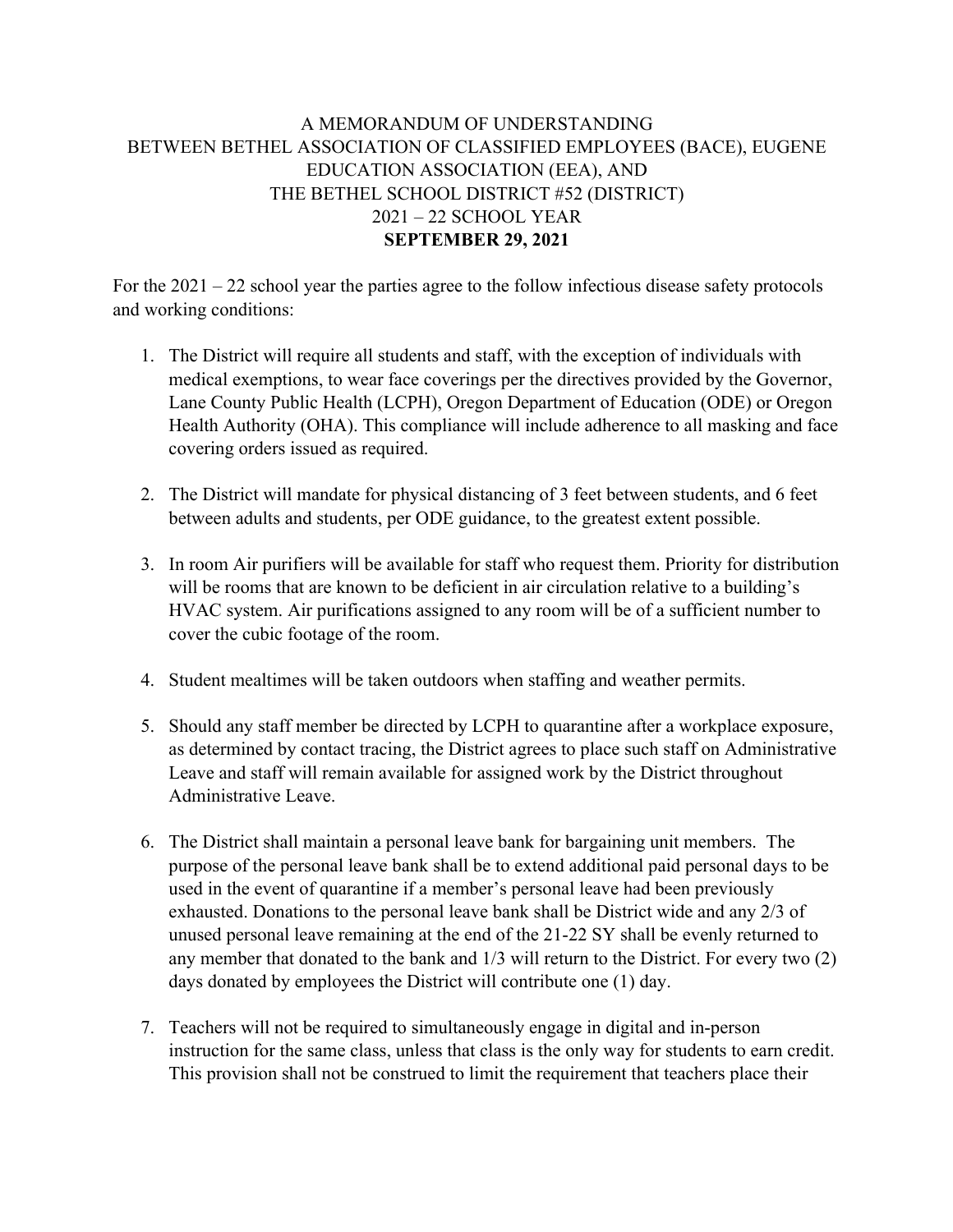## A MEMORANDUM OF UNDERSTANDING BETWEEN BETHEL ASSOCIATION OF CLASSIFIED EMPLOYEES (BACE), EUGENE EDUCATION ASSOCIATION (EEA), AND THE BETHEL SCHOOL DISTRICT #52 (DISTRICT) 2021 – 22 SCHOOL YEAR **SEPTEMBER 29, 2021**

For the 2021 – 22 school year the parties agree to the follow infectious disease safety protocols and working conditions:

- 1. The District will require all students and staff, with the exception of individuals with medical exemptions, to wear face coverings per the directives provided by the Governor, Lane County Public Health (LCPH), Oregon Department of Education (ODE) or Oregon Health Authority (OHA). This compliance will include adherence to all masking and face covering orders issued as required.
- 2. The District will mandate for physical distancing of 3 feet between students, and 6 feet between adults and students, per ODE guidance, to the greatest extent possible.
- 3. In room Air purifiers will be available for staff who request them. Priority for distribution will be rooms that are known to be deficient in air circulation relative to a building's HVAC system. Air purifications assigned to any room will be of a sufficient number to cover the cubic footage of the room.
- 4. Student mealtimes will be taken outdoors when staffing and weather permits.
- 5. Should any staff member be directed by LCPH to quarantine after a workplace exposure, as determined by contact tracing, the District agrees to place such staff on Administrative Leave and staff will remain available for assigned work by the District throughout Administrative Leave.
- 6. The District shall maintain a personal leave bank for bargaining unit members. The purpose of the personal leave bank shall be to extend additional paid personal days to be used in the event of quarantine if a member's personal leave had been previously exhausted. Donations to the personal leave bank shall be District wide and any 2/3 of unused personal leave remaining at the end of the 21-22 SY shall be evenly returned to any member that donated to the bank and 1/3 will return to the District. For every two (2) days donated by employees the District will contribute one (1) day.
- 7. Teachers will not be required to simultaneously engage in digital and in-person instruction for the same class, unless that class is the only way for students to earn credit. This provision shall not be construed to limit the requirement that teachers place their